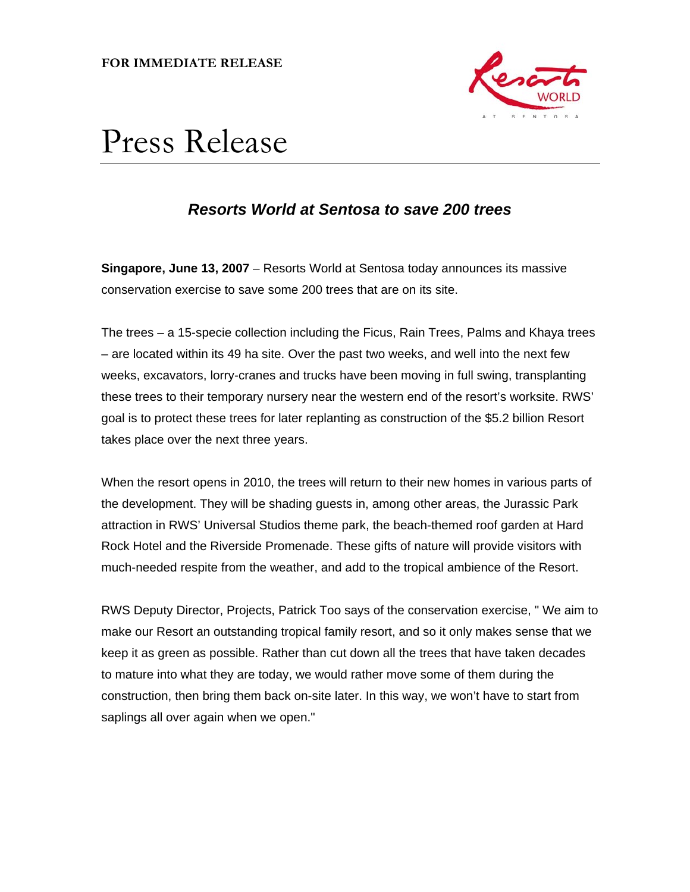**FOR IMMEDIATE RELEASE** 



# Press Release

# *Resorts World at Sentosa to save 200 trees*

**Singapore, June 13, 2007** – Resorts World at Sentosa today announces its massive conservation exercise to save some 200 trees that are on its site.

The trees – a 15-specie collection including the Ficus, Rain Trees, Palms and Khaya trees – are located within its 49 ha site. Over the past two weeks, and well into the next few weeks, excavators, lorry-cranes and trucks have been moving in full swing, transplanting these trees to their temporary nursery near the western end of the resort's worksite. RWS' goal is to protect these trees for later replanting as construction of the \$5.2 billion Resort takes place over the next three years.

When the resort opens in 2010, the trees will return to their new homes in various parts of the development. They will be shading guests in, among other areas, the Jurassic Park attraction in RWS' Universal Studios theme park, the beach-themed roof garden at Hard Rock Hotel and the Riverside Promenade. These gifts of nature will provide visitors with much-needed respite from the weather, and add to the tropical ambience of the Resort.

RWS Deputy Director, Projects, Patrick Too says of the conservation exercise, " We aim to make our Resort an outstanding tropical family resort, and so it only makes sense that we keep it as green as possible. Rather than cut down all the trees that have taken decades to mature into what they are today, we would rather move some of them during the construction, then bring them back on-site later. In this way, we won't have to start from saplings all over again when we open."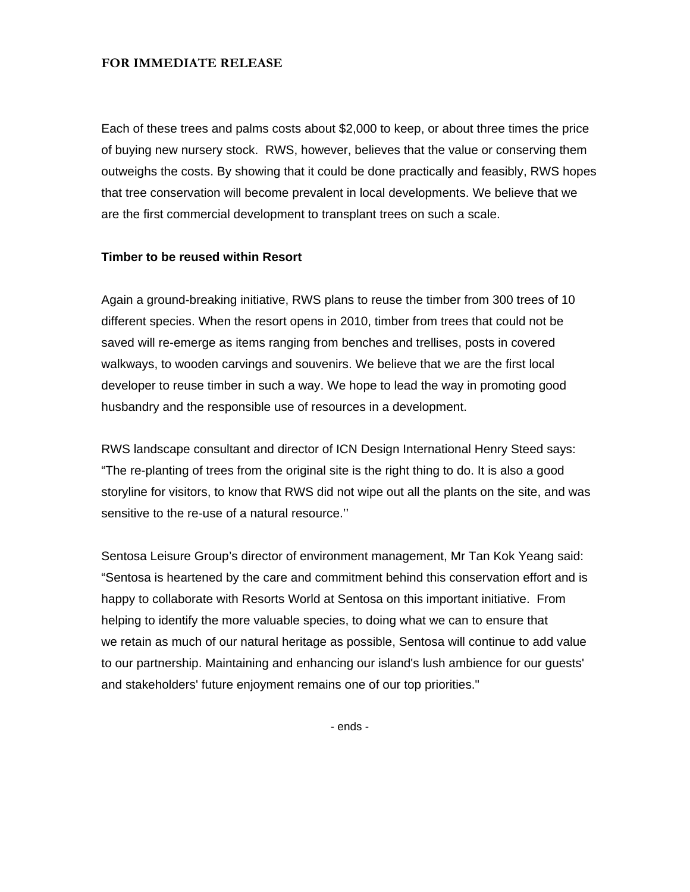### **FOR IMMEDIATE RELEASE**

Each of these trees and palms costs about \$2,000 to keep, or about three times the price of buying new nursery stock. RWS, however, believes that the value or conserving them outweighs the costs. By showing that it could be done practically and feasibly, RWS hopes that tree conservation will become prevalent in local developments. We believe that we are the first commercial development to transplant trees on such a scale.

## **Timber to be reused within Resort**

Again a ground-breaking initiative, RWS plans to reuse the timber from 300 trees of 10 different species. When the resort opens in 2010, timber from trees that could not be saved will re-emerge as items ranging from benches and trellises, posts in covered walkways, to wooden carvings and souvenirs. We believe that we are the first local developer to reuse timber in such a way. We hope to lead the way in promoting good husbandry and the responsible use of resources in a development.

RWS landscape consultant and director of ICN Design International Henry Steed says: "The re-planting of trees from the original site is the right thing to do. It is also a good storyline for visitors, to know that RWS did not wipe out all the plants on the site, and was sensitive to the re-use of a natural resource.''

Sentosa Leisure Group's director of environment management, Mr Tan Kok Yeang said: "Sentosa is heartened by the care and commitment behind this conservation effort and is happy to collaborate with Resorts World at Sentosa on this important initiative. From helping to identify the more valuable species, to doing what we can to ensure that we retain as much of our natural heritage as possible, Sentosa will continue to add value to our partnership. Maintaining and enhancing our island's lush ambience for our guests' and stakeholders' future enjoyment remains one of our top priorities."

- ends -